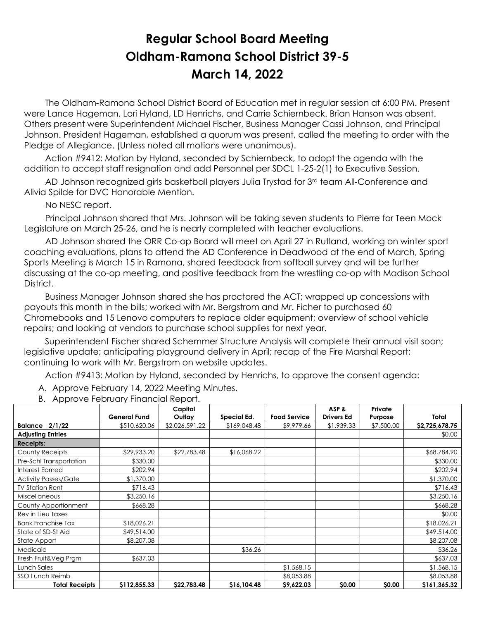## **Regular School Board Meeting Oldham-Ramona School District 39-5 March 14, 2022**

 The Oldham-Ramona School District Board of Education met in regular session at 6:00 PM. Present were Lance Hageman, Lori Hyland, LD Henrichs, and Carrie Schiernbeck. Brian Hanson was absent. Others present were Superintendent Michael Fischer, Business Manager Cassi Johnson, and Principal Johnson. President Hageman, established a quorum was present, called the meeting to order with the Pledge of Allegiance. (Unless noted all motions were unanimous).

 Action #9412: Motion by Hyland, seconded by Schiernbeck, to adopt the agenda with the addition to accept staff resignation and add Personnel per SDCL 1-25-2(1) to Executive Session.

AD Johnson recognized girls basketball players Julia Trystad for 3rd team All-Conference and Alivia Spilde for DVC Honorable Mention.

No NESC report.

 Principal Johnson shared that Mrs. Johnson will be taking seven students to Pierre for Teen Mock Legislature on March 25-26, and he is nearly completed with teacher evaluations.

 AD Johnson shared the ORR Co-op Board will meet on April 27 in Rutland, working on winter sport coaching evaluations, plans to attend the AD Conference in Deadwood at the end of March, Spring Sports Meeting is March 15 in Ramona, shared feedback from softball survey and will be further discussing at the co-op meeting, and positive feedback from the wrestling co-op with Madison School District.

 Business Manager Johnson shared she has proctored the ACT; wrapped up concessions with payouts this month in the bills; worked with Mr. Bergstrom and Mr. Ficher to purchased 60 Chromebooks and 15 Lenovo computers to replace older equipment; overview of school vehicle repairs; and looking at vendors to purchase school supplies for next year.

 Superintendent Fischer shared Schemmer Structure Analysis will complete their annual visit soon; legislative update; anticipating playground delivery in April; recap of the Fire Marshal Report; continuing to work with Mr. Bergstrom on website updates.

Action #9413: Motion by Hyland, seconded by Henrichs, to approve the consent agenda:

A. Approve February 14, 2022 Meeting Minutes.

|                             |                     | Capital        |              |                     | ASP&              | Private    |                |
|-----------------------------|---------------------|----------------|--------------|---------------------|-------------------|------------|----------------|
|                             | <b>General Fund</b> | Outlay         | Special Ed.  | <b>Food Service</b> | <b>Drivers Ed</b> | Purpose    | Total          |
| 2/1/22<br>Balance           | \$510,620.06        | \$2,026,591.22 | \$169,048.48 | \$9,979.66          | \$1,939.33        | \$7,500.00 | \$2,725,678.75 |
| <b>Adjusting Entries</b>    |                     |                |              |                     |                   |            | \$0.00         |
| <b>Receipts:</b>            |                     |                |              |                     |                   |            |                |
| County Receipts             | \$29,933.20         | \$22,783.48    | \$16,068.22  |                     |                   |            | \$68,784.90    |
| Pre-Schl Transportation     | \$330.00            |                |              |                     |                   |            | \$330.00       |
| <b>Interest Earned</b>      | \$202.94            |                |              |                     |                   |            | \$202.94       |
| <b>Activity Passes/Gate</b> | \$1,370.00          |                |              |                     |                   |            | \$1,370.00     |
| <b>TV Station Rent</b>      | \$716.43            |                |              |                     |                   |            | \$716.43       |
| <b>Miscellaneous</b>        | \$3,250.16          |                |              |                     |                   |            | \$3,250.16     |
| County Apportionment        | \$668.28            |                |              |                     |                   |            | \$668.28       |
| Rev in Lieu Taxes           |                     |                |              |                     |                   |            | \$0.00         |
| <b>Bank Franchise Tax</b>   | \$18,026.21         |                |              |                     |                   |            | \$18,026.21    |
| State of SD-St Aid          | \$49,514.00         |                |              |                     |                   |            | \$49,514.00    |
| State Apport                | \$8,207.08          |                |              |                     |                   |            | \$8,207.08     |
| Medicaid                    |                     |                | \$36.26      |                     |                   |            | \$36.26        |
| Fresh Fruit&Veg Prgm        | \$637.03            |                |              |                     |                   |            | \$637.03       |
| Lunch Sales                 |                     |                |              | \$1,568.15          |                   |            | \$1,568.15     |
| <b>SSO Lunch Reimb</b>      |                     |                |              | \$8,053.88          |                   |            | \$8,053.88     |
| <b>Total Receipts</b>       | \$112,855.33        | \$22,783.48    | \$16,104.48  | \$9,622.03          | \$0.00            | \$0.00     | \$161,365.32   |

B. Approve February Financial Report.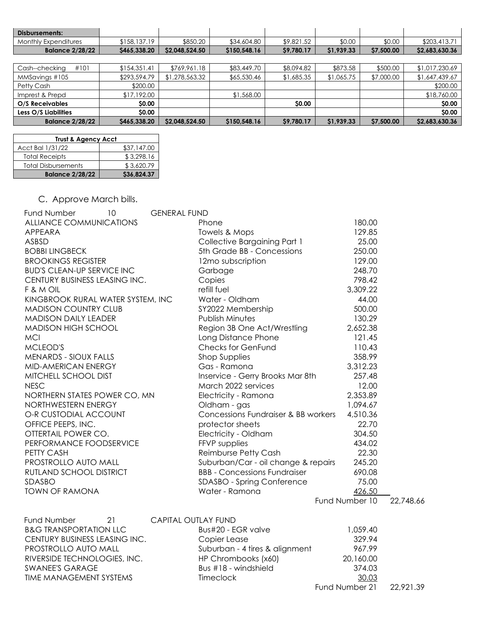| Disbursements:         |              |                |              |              |            |            |                |
|------------------------|--------------|----------------|--------------|--------------|------------|------------|----------------|
| Monthly Expenditures   | \$158,137.19 | \$850.20       | \$34,604.80  | \$9,821.52   | \$0.00     | \$0.00     | \$203,413.71   |
| <b>Balance 2/28/22</b> | \$465,338.20 | \$2,048,524.50 | \$150,548.16 | \$9,780.17   | \$1,939.33 | \$7,500.00 | \$2,683,630.36 |
|                        |              |                |              |              |            |            |                |
| #101<br>Cash--checking | \$154,351.41 | \$769,961.18   | \$83,449.70  | \$8,094.82   | \$873.58   | \$500.00   | \$1,017,230.69 |
| MMSavings #105         | \$293,594.79 | \$1,278,563.32 | \$65,530.46  | \$1,685.35   | \$1,065.75 | \$7,000.00 | \$1,647,439.67 |
| Petty Cash             | \$200.00     |                |              |              |            |            | \$200.00       |
| Imprest & Prepd        | \$17,192.00  |                | \$1,568.00   |              |            |            | \$18,760.00    |
| O/S Receivables        | <b>SO.00</b> |                |              | <b>SO.00</b> |            |            | \$0.00         |
| Less O/S Liabilities   | \$0.00       |                |              |              |            |            | \$0.00         |
| <b>Balance 2/28/22</b> | \$465,338.20 | \$2,048,524.50 | \$150,548.16 | \$9,780.17   | \$1,939.33 | \$7,500.00 | \$2,683,630.36 |

| <b>Trust &amp; Agency Acct</b> |             |  |  |  |  |
|--------------------------------|-------------|--|--|--|--|
| Acct Bal 1/31/22               | \$37,147.00 |  |  |  |  |
| <b>Total Receipts</b>          | \$3,298.16  |  |  |  |  |
| <b>Total Disbursements</b>     | \$3,620.79  |  |  |  |  |
| <b>Balance 2/28/22</b>         | \$36,824.37 |  |  |  |  |

## C. Approve March bills.

| <b>Fund Number</b><br>10          | <b>GENERAL FUND</b> |                                     |                |           |
|-----------------------------------|---------------------|-------------------------------------|----------------|-----------|
| ALLIANCE COMMUNICATIONS           |                     | Phone                               | 180.00         |           |
| APPEARA                           |                     | Towels & Mops                       | 129.85         |           |
| ASBSD                             |                     | Collective Bargaining Part 1        | 25.00          |           |
| <b>BOBBI LINGBECK</b>             |                     | 5th Grade BB - Concessions          | 250.00         |           |
| <b>BROOKINGS REGISTER</b>         |                     | 12mo subscription                   | 129.00         |           |
| <b>BUD'S CLEAN-UP SERVICE INC</b> |                     | Garbage                             | 248.70         |           |
| CENTURY BUSINESS LEASING INC.     |                     | Copies                              | 798.42         |           |
| F & M OIL                         |                     | refill fuel                         | 3,309.22       |           |
| KINGBROOK RURAL WATER SYSTEM, INC |                     | Water - Oldham                      | 44.00          |           |
| <b>MADISON COUNTRY CLUB</b>       |                     | SY2022 Membership                   | 500.00         |           |
| <b>MADISON DAILY LEADER</b>       |                     | Publish Minutes                     | 130.29         |           |
| <b>MADISON HIGH SCHOOL</b>        |                     | Region 3B One Act/Wrestling         | 2,652.38       |           |
| <b>MCI</b>                        |                     | Long Distance Phone                 | 121.45         |           |
| MCLEOD'S                          |                     | <b>Checks for GenFund</b>           | 110.43         |           |
| MENARDS - SIOUX FALLS             |                     | <b>Shop Supplies</b>                | 358.99         |           |
| MID-AMERICAN ENERGY               |                     | Gas - Ramona                        | 3,312.23       |           |
| MITCHELL SCHOOL DIST              |                     | Inservice - Gerry Brooks Mar 8th    | 257.48         |           |
| <b>NESC</b>                       |                     | March 2022 services                 | 12.00          |           |
| NORTHERN STATES POWER CO, MN      |                     | Electricity - Ramona                | 2,353.89       |           |
| NORTHWESTERN ENERGY               |                     | Oldham - gas                        | 1,094.67       |           |
| O-R CUSTODIAL ACCOUNT             |                     | Concessions Fundraiser & BB workers | 4,510.36       |           |
| OFFICE PEEPS, INC.                |                     | protector sheets                    | 22.70          |           |
| OTTERTAIL POWER CO.               |                     | Electricity - Oldham                | 304.50         |           |
| PERFORMANCE FOODSERVICE           |                     | FFVP supplies                       | 434.02         |           |
| PETTY CASH                        |                     | Reimburse Petty Cash                | 22.30          |           |
| PROSTROLLO AUTO MALL              |                     | Suburban/Car - oil change & repairs | 245.20         |           |
| RUTLAND SCHOOL DISTRICT           |                     | <b>BBB - Concessions Fundraiser</b> | 690.08         |           |
| <b>SDASBO</b>                     |                     | SDASBO - Spring Conference          | 75.00          |           |
| <b>TOWN OF RAMONA</b>             |                     | Water - Ramona                      | 426.50         |           |
|                                   |                     |                                     | Fund Number 10 | 22,748.66 |

| Fund Number                       | 21 | <b>CAPITAL OUTLAY FUND</b>     |                |           |
|-----------------------------------|----|--------------------------------|----------------|-----------|
| <b>B&amp;G TRANSPORTATION LLC</b> |    | Bus#20 - EGR valve             | 1,059.40       |           |
| CENTURY BUSINESS LEASING INC.     |    | Copier Lease                   | 329.94         |           |
| PROSTROLLO AUTO MALL              |    | Suburban - 4 tires & alignment | 967.99         |           |
| RIVERSIDE TECHNOLOGIES, INC.      |    | HP Chrombooks (x60)            | 20,160.00      |           |
| <b>SWANEE'S GARAGE</b>            |    | Bus #18 - windshield           | 374.03         |           |
| TIME MANAGEMENT SYSTEMS           |    | <b>Timeclock</b>               | 30.03          |           |
|                                   |    |                                | Fund Number 21 | 22.921.39 |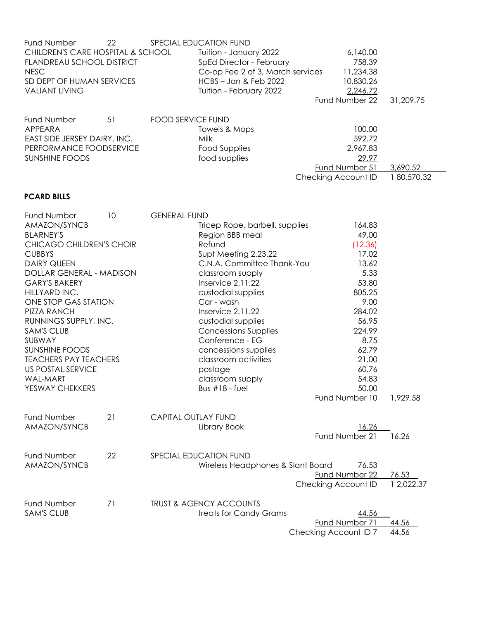| Fund Number<br>CHILDREN'S CARE HOSPITAL & SCHOOL<br>FLANDREAU SCHOOL DISTRICT<br><b>NESC</b><br>SD DEPT OF HUMAN SERVICES<br><b>VALIANT LIVING</b>                                                                                                                                                                                                                                                         | 22 |                            | SPECIAL EDUCATION FUND<br>Tuition - January 2022<br>SpEd Director - February<br>Co-op Fee 2 of 3, March services<br>HCBS - Jan & Feb 2022<br>Tuition - February 2022                                                                                                                                                                                                                           | 6,140.00<br>758.39<br>11,234.38<br>10,830.26<br>2,246.72<br>Fund Number 22                                                                                                          | 31,209.75              |
|------------------------------------------------------------------------------------------------------------------------------------------------------------------------------------------------------------------------------------------------------------------------------------------------------------------------------------------------------------------------------------------------------------|----|----------------------------|------------------------------------------------------------------------------------------------------------------------------------------------------------------------------------------------------------------------------------------------------------------------------------------------------------------------------------------------------------------------------------------------|-------------------------------------------------------------------------------------------------------------------------------------------------------------------------------------|------------------------|
| Fund Number<br>APPEARA<br>EAST SIDE JERSEY DAIRY, INC.<br>PERFORMANCE FOODSERVICE<br><b>SUNSHINE FOODS</b>                                                                                                                                                                                                                                                                                                 | 51 | <b>FOOD SERVICE FUND</b>   | Towels & Mops<br>Milk<br><b>Food Supplies</b><br>food supplies                                                                                                                                                                                                                                                                                                                                 | 100.00<br>592.72<br>2,967.83<br>29.97<br><b>Fund Number 51</b><br>Checking Account ID                                                                                               | 3,690.52<br>180,570.32 |
| <b>PCARD BILLS</b>                                                                                                                                                                                                                                                                                                                                                                                         |    |                            |                                                                                                                                                                                                                                                                                                                                                                                                |                                                                                                                                                                                     |                        |
| Fund Number<br>AMAZON/SYNCB<br><b>BLARNEY'S</b><br>CHICAGO CHILDREN'S CHOIR<br><b>CUBBYS</b><br><b>DAIRY QUEEN</b><br>DOLLAR GENERAL - MADISON<br><b>GARY'S BAKERY</b><br>HILLYARD INC.<br>ONE STOP GAS STATION<br>PIZZA RANCH<br>RUNNINGS SUPPLY, INC.<br><b>SAM'S CLUB</b><br>SUBWAY<br>SUNSHINE FOODS<br><b>TEACHERS PAY TEACHERS</b><br><b>US POSTAL SERVICE</b><br><b>WAL-MART</b><br>YESWAY CHEKKERS | 10 | <b>GENERAL FUND</b>        | Tricep Rope, barbell, supplies<br>Region BBB meal<br>Refund<br>Supt Meeting 2.23.22<br>C.N.A. Committee Thank-You<br>classroom supply<br>Inservice 2.11.22<br>custodial supplies<br>Car - wash<br>Inservice 2.11.22<br>custodial supplies<br><b>Concessions Supplies</b><br>Conference - EG<br>concessions supplies<br>classroom activities<br>postage<br>classroom supply<br>Bus $#18$ - fuel | 164.83<br>49.00<br>(12.36)<br>17.02<br>13.62<br>5.33<br>53.80<br>805.25<br>9.00<br>284.02<br>56.95<br>224.99<br>8.75<br>62.79<br>21.00<br>60.76<br>54.83<br>50.00<br>Fund Number 10 | 1,929.58               |
| Fund Number<br>AMAZON/SYNCB                                                                                                                                                                                                                                                                                                                                                                                | 21 | <b>CAPITAL OUTLAY FUND</b> | Library Book                                                                                                                                                                                                                                                                                                                                                                                   | 16.26<br>Fund Number 21                                                                                                                                                             | 16.26                  |
| <b>Fund Number</b><br>AMAZON/SYNCB                                                                                                                                                                                                                                                                                                                                                                         | 22 |                            | SPECIAL EDUCATION FUND<br>Wireless Headphones & Slant Board                                                                                                                                                                                                                                                                                                                                    | 76.53<br>Fund Number 22<br>Checking Account ID                                                                                                                                      | 76.53<br>1 2,022.37    |
| Fund Number<br><b>SAM'S CLUB</b>                                                                                                                                                                                                                                                                                                                                                                           | 71 |                            | <b>TRUST &amp; AGENCY ACCOUNTS</b><br>treats for Candy Grams                                                                                                                                                                                                                                                                                                                                   | 44.56<br>Fund Number 71<br>Checking Account ID 7                                                                                                                                    | 44.56<br>44.56         |